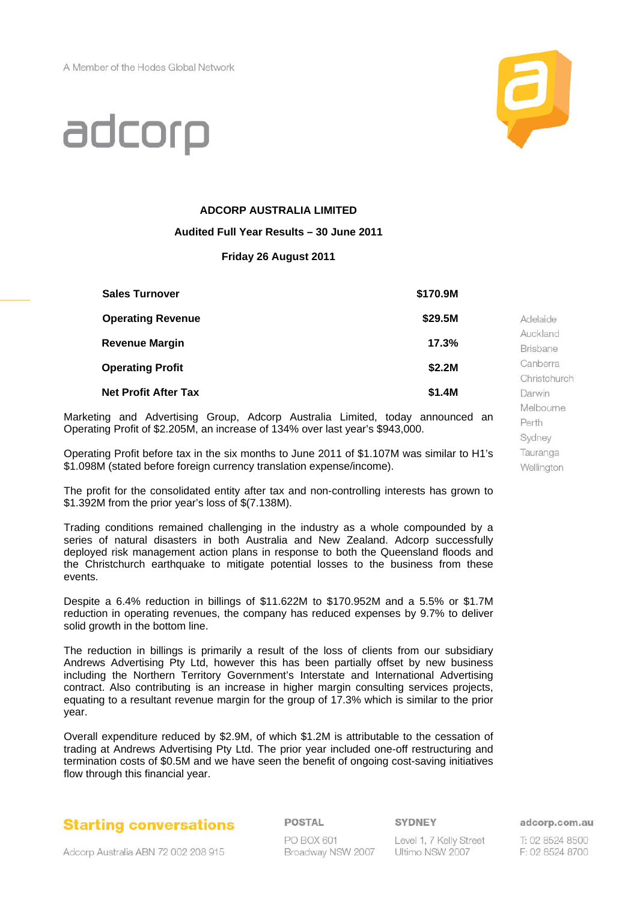

Perth Sydney Tauranga Wellington

# adcorp

### **ADCORP AUSTRALIA LIMITED**

#### **Audited Full Year Results – 30 June 2011**

#### **Friday 26 August 2011**

| <b>Sales Turnover</b>       | \$170.9M |                 |
|-----------------------------|----------|-----------------|
| <b>Operating Revenue</b>    | \$29.5M  | Adelaide        |
| <b>Revenue Margin</b>       | 17.3%    | Auckland        |
|                             |          | <b>Brisbane</b> |
| <b>Operating Profit</b>     | \$2.2M   | Canberra        |
|                             |          | Christchurch    |
| <b>Net Profit After Tax</b> | \$1.4M   | Darwin          |
|                             |          | Melbourne       |

Marketing and Advertising Group, Adcorp Australia Limited, today announced an Operating Profit of \$2.205M, an increase of 134% over last year's \$943,000.

Operating Profit before tax in the six months to June 2011 of \$1.107M was similar to H1's \$1.098M (stated before foreign currency translation expense/income).

The profit for the consolidated entity after tax and non-controlling interests has grown to \$1.392M from the prior year's loss of \$(7.138M).

Trading conditions remained challenging in the industry as a whole compounded by a series of natural disasters in both Australia and New Zealand. Adcorp successfully deployed risk management action plans in response to both the Queensland floods and the Christchurch earthquake to mitigate potential losses to the business from these events.

Despite a 6.4% reduction in billings of \$11.622M to \$170.952M and a 5.5% or \$1.7M reduction in operating revenues, the company has reduced expenses by 9.7% to deliver solid growth in the bottom line.

The reduction in billings is primarily a result of the loss of clients from our subsidiary Andrews Advertising Pty Ltd, however this has been partially offset by new business including the Northern Territory Government's Interstate and International Advertising contract. Also contributing is an increase in higher margin consulting services projects, equating to a resultant revenue margin for the group of 17.3% which is similar to the prior year.

Overall expenditure reduced by \$2.9M, of which \$1.2M is attributable to the cessation of trading at Andrews Advertising Pty Ltd. The prior year included one-off restructuring and termination costs of \$0.5M and we have seen the benefit of ongoing cost-saving initiatives flow through this financial year.

## **Starting conversations**

POSTAL PO BOX 601

Broadway NSW 2007

Level 1, 7 Kelly Street Ultimo NSW 2007

adcorp.com.au

T: 02 8524 8500 F: 02 8524 8700